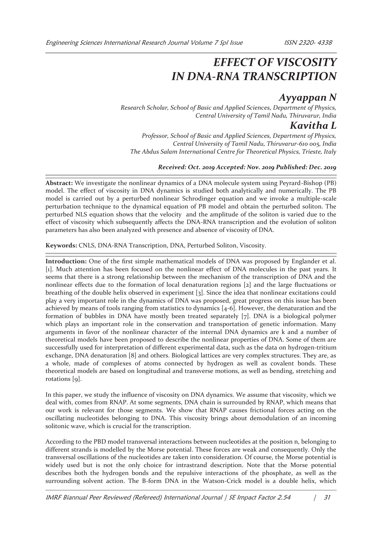# *EFFECT OF VISCOSITY IN DNA-RNA TRANSCRIPTION*

## *Ayyappan N*

*Research Scholar, School of Basic and Applied Sciences, Department of Physics, Central University of Tamil Nadu, Thiruvarur, India* 

### *Kavitha L*

*Professor, School of Basic and Applied Sciences, Department of Physics, Central University of Tamil Nadu, Thiruvarur-610 005, India The Abdus Salam International Centre for Theoretical Physics, Trieste, Italy* 

#### *Received: Oct. 2019 Accepted: Nov. 2019 Published: Dec. 2019*

**Abstract:** We investigate the nonlinear dynamics of a DNA molecule system using Peyrard-Bishop (PB) model. The effect of viscosity in DNA dynamics is studied both analytically and numerically. The PB model is carried out by a perturbed nonlinear Schrodinger equation and we invoke a multiple-scale perturbation technique to the dynamical equation of PB model and obtain the perturbed soliton. The perturbed NLS equation shows that the velocity and the amplitude of the soliton is varied due to the effect of viscosity which subsequently affects the DNA-RNA transcription and the evolution of soliton parameters has also been analyzed with presence and absence of viscosity of DNA.

**Keywords:** CNLS, DNA-RNA Transcription, DNA, Perturbed Soliton, Viscosity.

**Introduction:** One of the first simple mathematical models of DNA was proposed by Englander et al. [1]. Much attention has been focused on the nonlinear effect of DNA molecules in the past years. It seems that there is a strong relationship between the mechanism of the transcription of DNA and the nonlinear effects due to the formation of local denaturation regions [2] and the large fluctuations or breathing of the double helix observed in experiment [3]. Since the idea that nonlinear excitations could play a very important role in the dynamics of DNA was proposed, great progress on this issue has been achieved by means of tools ranging from statistics to dynamics [4-6]. However, the denaturation and the formation of bubbles in DNA have mostly been treated separately [7]. DNA is a biological polymer which plays an important role in the conservation and transportation of genetic information. Many arguments in favor of the nonlinear character of the internal DNA dynamics are k and a number of theoretical models have been proposed to describe the nonlinear properties of DNA. Some of them are successfully used for interpretation of different experimental data, such as the data on hydrogen-tritium exchange, DNA denaturation [8] and others. Biological lattices are very complex structures. They are, as a whole, made of complexes of atoms connected by hydrogen as well as covalent bonds. These theoretical models are based on longitudinal and transverse motions, as well as bending, stretching and rotations [9].

In this paper, we study the influence of viscosity on DNA dynamics. We assume that viscosity, which we deal with, comes from RNAP. At some segments, DNA chain is surrounded by RNAP, which means that our work is relevant for those segments. We show that RNAP causes frictional forces acting on the oscillating nucleotides belonging to DNA. This viscosity brings about demodulation of an incoming solitonic wave, which is crucial for the transcription.

According to the PBD model transversal interactions between nucleotides at the position n, belonging to different strands is modelled by the Morse potential. These forces are weak and consequently. Only the transversal oscillations of the nucleotides are taken into consideration. Of course, the Morse potential is widely used but is not the only choice for intrastrand description. Note that the Morse potential describes both the hydrogen bonds and the repulsive interactions of the phosphate, as well as the surrounding solvent action. The B-form DNA in the Watson-Crick model is a double helix, which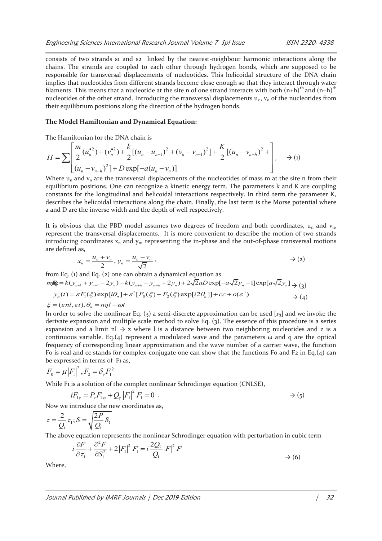consists of two strands s1 and s2 linked by the nearest-neighbour harmonic interactions along the chains. The strands are coupled to each other through hydrogen bonds, which are supposed to be responsible for transversal displacements of nucleotides. This helicoidal structure of the DNA chain implies that nucleotides from different strands become close enough so that they interact through water filaments. This means that a nucleotide at the site n of one strand interacts with both  $(n+h)$ <sup>th</sup> and  $(n-h)$ <sup>th</sup> nucleotides of the other strand. Introducing the transversal displacements  $u_n$ ,  $v_n$  of the nucleotides from their equilibrium positions along the direction of the hydrogen bonds.

#### **The Model Hamiltonian and Dynamical Equation:**

The Hamiltonian for the DNA chain is

$$
H = \sum \left[ \frac{m}{2} (u_n^{*2}) + (v_n^{*2}) + \frac{k}{2} [(u_n - u_{n-1})^2 + (v_n - v_{n-1})^2] + \frac{K}{2} [(u_n - v_{n+h})^2 + (u_n - v_{n-1})^2] + D \exp[-a(u_n - v_n)] \right], \quad \to (1)
$$

Where  $u_n$  and  $v_n$  are the transversal displacements of the nucleotides of mass m at the site n from their equilibrium positions. One can recognize a kinetic energy term. The parameters k and K are coupling constants for the longitudinal and helicoidal interactions respectively. In third term the parameter K, describes the helicoidal interactions along the chain. Finally, the last term is the Morse potential where a and D are the inverse width and the depth of well respectively.

It is obvious that the PBD model assumes two degrees of freedom and both coordinates,  $u_n$  and  $v_n$ , represent the transversal displacements. It is more convenient to describe the motion of two strands introducing coordinates  $x_n$  and  $y_n$ , representing the in-phase and the out-of-phase transversal motions are defined as,

$$
x_n = \frac{u_n + v_n}{2}, y_n = \frac{u_n - v_n}{\sqrt{2}},
$$
  $\rightarrow$  (2)

from Eq. (1) and Eq. (2) one can obtain a dynamical equation as

$$
mg\ddot{x} = k(y_{n+1} + y_{n-1} - 2y_n) - k(y_{n+h} + y_{n-h} + 2y_n) + 2\sqrt{2}aD \exp[-a\sqrt{2}y_n - 1] \exp[a\sqrt{2}y_n] \to (3)
$$
  

$$
y_n(t) = \varepsilon F_1(\xi) \exp[i\theta_n] + \varepsilon^2 [F_0(\xi) + F_2(\xi) \exp[i2\theta_n]] + cc + o(\varepsilon^3) \to (4)
$$

 $\xi = (\varepsilon n l, \varepsilon t), \theta_n = nql - \omega t$ 

In order to solve the nonlinear Eq. (3) a semi-discrete approximation can be used [15] and we invoke the derivate expansion and multiple scale method to solve Eq. (3). The essence of this procedure is a series expansion and a limit nl  $\rightarrow$  z where l is a distance between two neighboring nucleotides and z is a continuous variable. Eq.(4) represent a modulated wave and the parameters  $\omega$  and q are the optical frequency of corresponding linear approximation and the wave number of a carrier wave, the function Fo is real and cc stands for complex-conjugate one can show that the functions Fo and F2 in Eq.(4) can be expressed in terms of F<sub>1</sub> as,

$$
F_0 = \mu |F_1|^2, F_2 = \delta_{\gamma} F_1^2
$$

While F<sub>1</sub> is a solution of the complex nonlinear Schrodinger equation (CNLSE),

$$
iF_{1\gamma} = P_{\gamma} F_{1ss} + Q_{\gamma} |F_1|^2 F_1 = 0 . \qquad \rightarrow (5)
$$

Now we introduce the new coordinates as,

.

$$
\tau = \frac{2}{Q_1} \tau_1; S = \sqrt{\frac{2P}{Q_1} S_1}
$$

The above equation represents the nonlinear Schrodinger equation with perturbation in cubic term

$$
i\frac{\partial F}{\partial \tau_1} + \frac{\partial^2 F}{\partial S_1^2} + 2|F_1|^2 F_1 = i\frac{2Q_2}{Q_1}|F|^2 F \rightarrow (6)
$$

Where,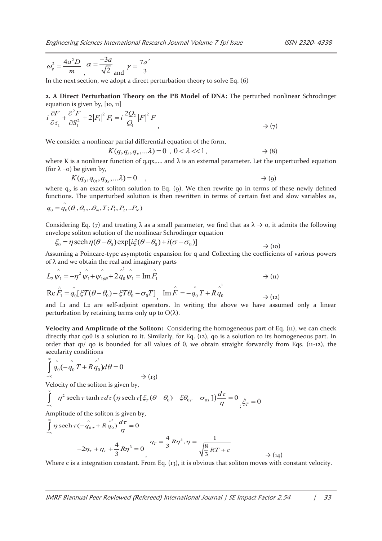$$
\omega_g^2 = \frac{4a^2D}{m}, \alpha = \frac{-3a}{\sqrt{2}} \text{ and } \gamma = \frac{7a^2}{3}
$$

In the next section, we adopt a direct perturbation theory to solve Eq. (6)

**2. A Direct Perturbation Theory on the PB Model of DNA:** The perturbed nonlinear Schrodinger equation is given by, [10, 11]

$$
i\frac{\partial F}{\partial \tau_1} + \frac{\partial^2 F}{\partial S_1^2} + 2|F_1|^2 F_1 = i\frac{2Q_2}{Q_1}|F|^2 F
$$
\n
$$
\rightarrow (\gamma)
$$

We consider a nonlinear partial differential equation of the form,

$$
K(q, q_t, q_x, \ldots \lambda) = 0 \quad 0 < \lambda < 1, \quad \rightarrow (8)
$$

where K is a nonlinear function of q,qx,.... and  $\lambda$  is an external parameter. Let the unperturbed equation (for  $\lambda = o$ ) be given by,

$$
K(q_0, q_{0t}, q_{0x}, \ldots \lambda) = 0 \quad , \qquad \longrightarrow (9)
$$

where  $q_0$  is an exact soliton solution to Eq. (9). We then rewrite qo in terms of these newly defined functions. The unperturbed solution is then rewritten in terms of certain fast and slow variables as,

$$
q_0 = \overset{\wedge}{q}_0(\theta_1, \theta_2, \ldots \theta_m, T; P_1, P_2, \ldots P_N)
$$

 $\lambda$ 

Considering Eq. (7) and treating  $\lambda$  as a small parameter, we find that as  $\lambda \to 0$ , it admits the following envelope soliton solution of the nonlinear Schrodinger equation

$$
\xi_0 = \eta \operatorname{sech} \eta(\theta - \theta_0) \exp[i\xi(\theta - \theta_0) + i(\sigma - \sigma_0)] \qquad \qquad \to \text{(10)}
$$

Assuming a Poincare-type asymptotic expansion for q and Collecting the coefficients of various powers of  $\lambda$  and we obtain the real and imaginary parts

$$
L_2 \hat{\psi_1} = -\eta^2 \hat{\psi_1} + \hat{\psi_1}_{\theta\theta} + 2 \hat{\dot{q}}_0 \hat{\psi_1} = \text{Im}\,\hat{F_1}
$$
  
\n
$$
\text{Re}\,\hat{F_1} = \hat{q_0} [\xi T(\theta - \theta_0) - \xi T \theta_0 - \sigma_0 T] \text{ Im}\,\hat{F_1} = -\hat{q_0} T + R \hat{\dot{q}}_0^3
$$
  
\n
$$
\rightarrow (11)
$$

and L1 and L2 are self-adjoint operators. In writing the above we have assumed only a linear perturbation by retaining terms only up to  $O(λ)$ .

**Velocity and Amplitude of the Soliton:** Considering the homogeneous part of Eq. (11), we can check directly that q0θ is a solution to it. Similarly, for Eq. (12), q0 is a solution to its homogeneous part. In order that q1/ qo is bounded for all values of θ, we obtain straight forwardly from Eqs. (11-12), the secularity conditions

$$
\int_{-\infty}^{\infty} \hat{q}_0(-\hat{q}_0 T + R \hat{q}_0) d\theta = 0
$$
  

$$
\rightarrow (13)
$$

Velocity of the soliton is given by,

$$
\int_{-\infty}^{\infty} -\eta^2 \operatorname{sech} \tau \tanh \tau d\tau \left( \eta \operatorname{sech} \tau \left[ \xi_T (\theta - \theta_0) - \xi \theta_{0T} - \sigma_{0T} \right] \right) \frac{d\tau}{\eta} = 0_{\xi_T} \xi_T = 0
$$

Amplitude of the soliton is given by,

$$
\int_{-\infty}^{\infty} \eta \operatorname{sech} \tau \left( -\hat{q}_{0T} + R \hat{q}_0 \right) \frac{d\tau}{\eta} = 0
$$
\n
$$
-2\eta_T + \eta_T + \frac{4}{3} R \eta^3 = 0 \qquad \eta_T = \frac{4}{3} R \eta^3, \eta = \frac{1}{\sqrt{\frac{8}{3} R T + c}}
$$
\n
$$
\to (14)
$$

Where c is a integration constant. From Eq. (13), it is obvious that soliton moves with constant velocity.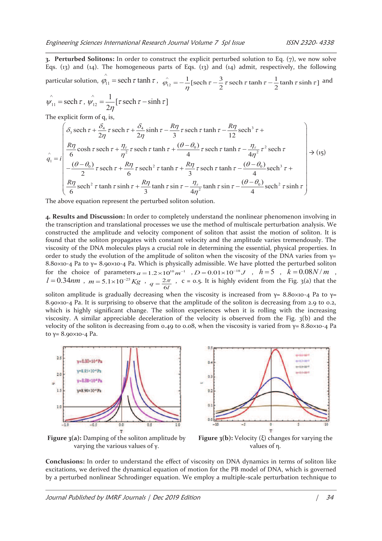**3. Perturbed Solitons:** In order to construct the explicit perturbed solution to Eq. (7), we now solve Eqs. (13) and (14). The homogeneous parts of Eqs. (13) and (14) admit, respectively, the following particular solution,  $\hat{\varphi}_{11} = \operatorname{sech} \tau \tanh \tau$ ,  $\hat{\varphi}_{12} = -\frac{1}{\eta} [\operatorname{sech} \tau - \frac{3}{2} \tau \operatorname{sech} \tau \tanh \tau - \frac{1}{2} \tanh \tau \sinh \tau]$  $\hat{\tau}_{12} = -\frac{1}{2} [\operatorname{sech} \tau - \frac{3}{2} \tau \operatorname{sech} \tau \tanh \tau - \frac{1}{2} \tanh \tau \sinh \tau ]$  and

$$
\hat{\psi}_{11} = \operatorname{sech} \tau, \, \hat{\psi}_{12} = \frac{1}{2\eta} [\tau \operatorname{sech} \tau - \sinh \tau]
$$

The explicit form of  $q_i$  is,

$$
\hat{q}_1 = i \left( \frac{\delta_3 \operatorname{sech} \tau + \frac{\delta_4}{2\eta} \tau \operatorname{sech} \tau + \frac{\delta_4}{2\eta} \sinh \tau - \frac{R\eta}{3} \tau \operatorname{sech} \tau \tanh \tau - \frac{R\eta}{12} \operatorname{sech}^3 \tau + \frac{R\eta}{6} \operatorname{cosh} \tau \operatorname{sech} \tau + \frac{\eta_{\tau}}{\eta^2} \tau \operatorname{sech} \tau \tanh \tau + \frac{(\theta - \theta_0)}{4} \tau \operatorname{sech} \tau \tanh \tau - \frac{\eta_{\tau}}{4\eta^2} \tau^2 \operatorname{sech} \tau
$$
\n
$$
-\frac{(\theta - \theta_0)}{2} \tau \operatorname{sech} \tau + \frac{R\eta}{6} \tau \operatorname{sech}^2 \tau \tanh \tau + \frac{R\eta}{3} \tau \operatorname{sech} \tau \tanh \tau - \frac{(\theta - \theta_0)}{4} \operatorname{sech}^3 \tau + \frac{R\eta}{6} \operatorname{sech}^2 \tau \tanh \tau \operatorname{sinh} \tau + \frac{R\eta}{3} \tanh \tau \sin \tau - \frac{\eta_{\tau}}{4\eta^2} \tanh \tau \operatorname{sin} \tau - \frac{(\theta - \theta_0)}{4} \operatorname{sech}^2 \tau \operatorname{sinh} \tau \right)
$$

The above equation represent the perturbed soliton solution.

**4. Results and Discussion:** In order to completely understand the nonlinear phenomenon involving in the transcription and translational processes we use the method of multiscale perturbation analysis. We constructed the amplitude and velocity component of soliton that assist the motion of soliton. It is found that the soliton propagates with constant velocity and the amplitude varies tremendously. The viscosity of the DNA molecules plays a crucial role in determining the essential, physical properties. In order to study the evolution of the amplitude of soliton when the viscosity of the DNA varies from  $y=$ 8.80×10-4 Pa to  $\gamma$ = 8.90×10-4 Pa. Which is physically admissible. We have plotted the perturbed soliton for the choice of parameters  $a = 1.2 \times 10^{10} m^{-1}$ ,  $D = 0.01 \times 10^{-18} J$ ,  $h = 5$ ,  $k = 0.08 N/m$ ,  $l = 0.34$ nm,  $m = 5.1 \times 10^{-25}$ Kg,  $q = \frac{2}{\pi}$  $q = \frac{2\pi}{6l}$ , c = 0.5. It is highly evident from the Fig. 3(a) that the

soliton amplitude is gradually decreasing when the viscosity is increased from  $\gamma = 8.80 \times 10^{-4}$  Pa to  $\gamma =$ 8.90×10-4 Pa. It is surprising to observe that the amplitude of the soliton is decreasing from 2.9 to 0.2, which is highly significant change. The soliton experiences when it is rolling with the increasing viscosity. A similar appreciable deceleration of the velocity is observed from the Fig. 3(b) and the velocity of the soliton is decreasing from 0.49 to 0.08, when the viscosity is varied from  $γ = 8.80×10-4$  Pa to γ= 8.90×10-4 Pa.



**Figure 3(a):** Damping of the soliton amplitude by varying the various values of γ.



**Figure 3(b):** Velocity (ξ) changes for varying the values of η.

**Conclusions:** In order to understand the effect of viscosity on DNA dynamics in terms of soliton like excitations, we derived the dynamical equation of motion for the PB model of DNA, which is governed by a perturbed nonlinear Schrodinger equation. We employ a multiple-scale perturbation technique to